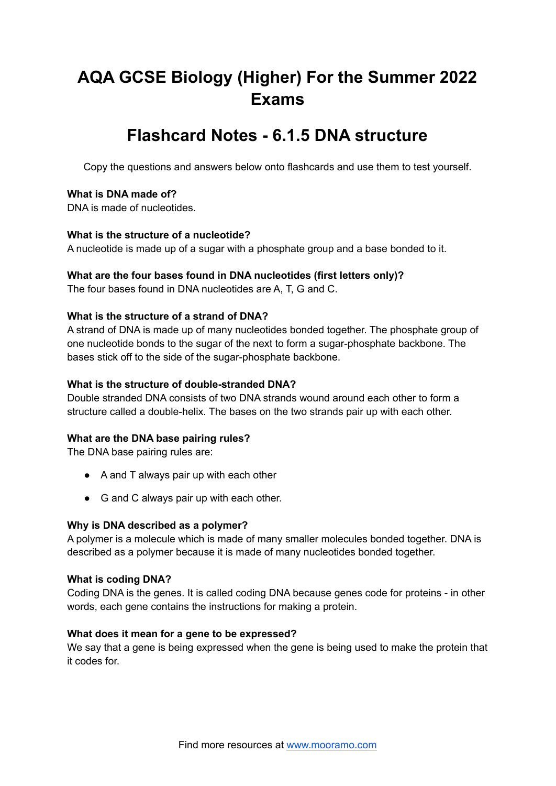# **AQA GCSE Biology (Higher) For the Summer 2022 Exams**

## **Flashcard Notes - 6.1.5 DNA structure**

Copy the questions and answers below onto flashcards and use them to test yourself.

## **What is DNA made of?**

DNA is made of nucleotides.

## **What is the structure of a nucleotide?**

A nucleotide is made up of a sugar with a phosphate group and a base bonded to it.

#### **What are the four bases found in DNA nucleotides (first letters only)?**

The four bases found in DNA nucleotides are A, T, G and C.

#### **What is the structure of a strand of DNA?**

A strand of DNA is made up of many nucleotides bonded together. The phosphate group of one nucleotide bonds to the sugar of the next to form a sugar-phosphate backbone. The bases stick off to the side of the sugar-phosphate backbone.

## **What is the structure of double-stranded DNA?**

Double stranded DNA consists of two DNA strands wound around each other to form a structure called a double-helix. The bases on the two strands pair up with each other.

## **What are the DNA base pairing rules?**

The DNA base pairing rules are:

- A and T always pair up with each other
- G and C always pair up with each other.

#### **Why is DNA described as a polymer?**

A polymer is a molecule which is made of many smaller molecules bonded together. DNA is described as a polymer because it is made of many nucleotides bonded together.

#### **What is coding DNA?**

Coding DNA is the genes. It is called coding DNA because genes code for proteins - in other words, each gene contains the instructions for making a protein.

#### **What does it mean for a gene to be expressed?**

We say that a gene is being expressed when the gene is being used to make the protein that it codes for.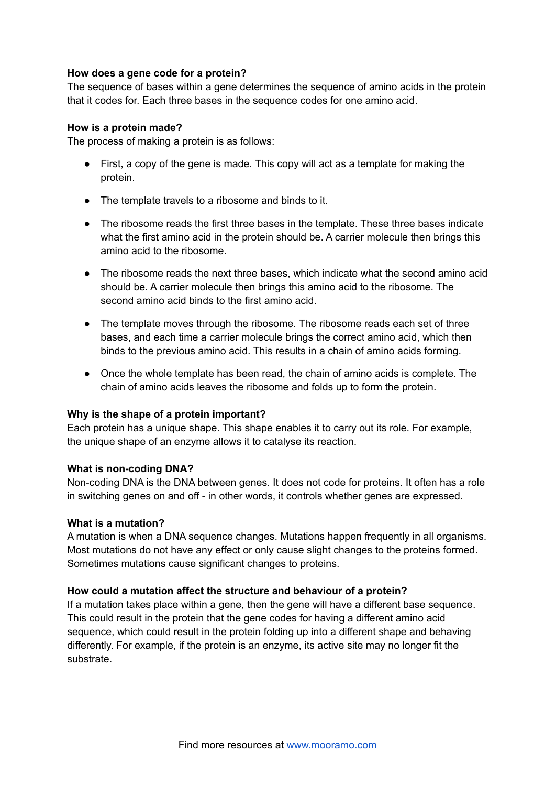## **How does a gene code for a protein?**

The sequence of bases within a gene determines the sequence of amino acids in the protein that it codes for. Each three bases in the sequence codes for one amino acid.

## **How is a protein made?**

The process of making a protein is as follows:

- First, a copy of the gene is made. This copy will act as a template for making the protein.
- The template travels to a ribosome and binds to it.
- The ribosome reads the first three bases in the template. These three bases indicate what the first amino acid in the protein should be. A carrier molecule then brings this amino acid to the ribosome.
- The ribosome reads the next three bases, which indicate what the second amino acid should be. A carrier molecule then brings this amino acid to the ribosome. The second amino acid binds to the first amino acid.
- The template moves through the ribosome. The ribosome reads each set of three bases, and each time a carrier molecule brings the correct amino acid, which then binds to the previous amino acid. This results in a chain of amino acids forming.
- Once the whole template has been read, the chain of amino acids is complete. The chain of amino acids leaves the ribosome and folds up to form the protein.

## **Why is the shape of a protein important?**

Each protein has a unique shape. This shape enables it to carry out its role. For example, the unique shape of an enzyme allows it to catalyse its reaction.

## **What is non-coding DNA?**

Non-coding DNA is the DNA between genes. It does not code for proteins. It often has a role in switching genes on and off - in other words, it controls whether genes are expressed.

## **What is a mutation?**

A mutation is when a DNA sequence changes. Mutations happen frequently in all organisms. Most mutations do not have any effect or only cause slight changes to the proteins formed. Sometimes mutations cause significant changes to proteins.

## **How could a mutation affect the structure and behaviour of a protein?**

If a mutation takes place within a gene, then the gene will have a different base sequence. This could result in the protein that the gene codes for having a different amino acid sequence, which could result in the protein folding up into a different shape and behaving differently. For example, if the protein is an enzyme, its active site may no longer fit the substrate.